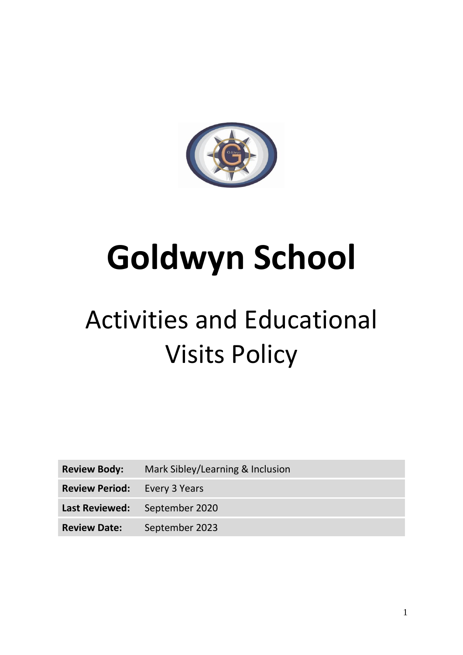

# **Goldwyn School**

# Activities and Educational Visits Policy

**Review Body:** Mark Sibley/Learning & Inclusion

**Review Period:** Every 3 Years

**Last Reviewed:** September 2020

**Review Date:** September 2023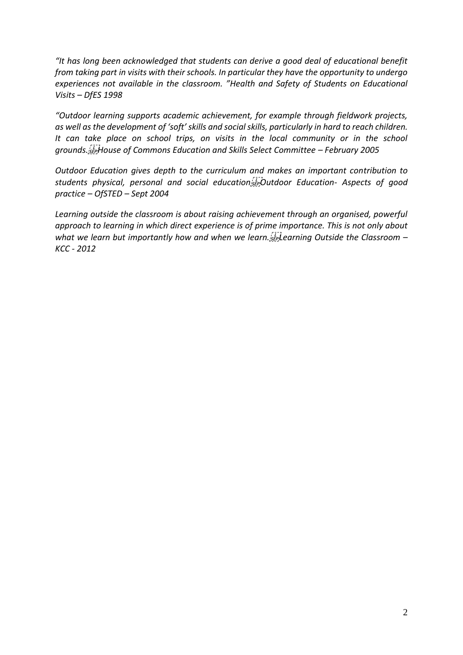*"It has long been acknowledged that students can derive a good deal of educational benefit from taking part in visits with their schools. In particular they have the opportunity to undergo experiences not available in the classroom. "Health and Safety of Students on Educational Visits – DfES 1998* 

*"Outdoor learning supports academic achievement, for example through fieldwork projects, as well as the development of 'soft' skills and social skills, particularly in hard to reach children. It can take place on school trips, on visits in the local community or in the school grounds. House of Commons Education and Skills Select Committee – February 2005* 

*Outdoor Education gives depth to the curriculum and makes an important contribution to*  students physical, personal and social education  $\frac{1}{2}$  Outdoor Education- Aspects of good *practice – OfSTED – Sept 2004* 

*Learning outside the classroom is about raising achievement through an organised, powerful approach to learning in which direct experience is of prime importance. This is not only about*  what we learn but importantly how and when we learn.<sup>*[1]*</sup> earning Outside the Classroom – *KCC - 2012*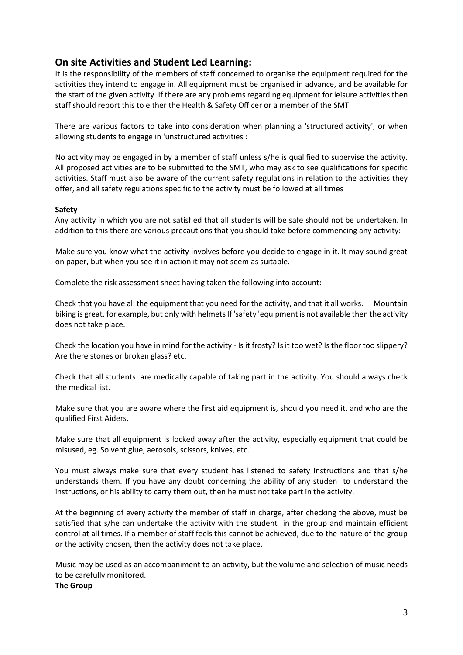#### **On site Activities and Student Led Learning:**

It is the responsibility of the members of staff concerned to organise the equipment required for the activities they intend to engage in. All equipment must be organised in advance, and be available for the start of the given activity. If there are any problems regarding equipment for leisure activities then staff should report this to either the Health & Safety Officer or a member of the SMT.

There are various factors to take into consideration when planning a 'structured activity', or when allowing students to engage in 'unstructured activities':

No activity may be engaged in by a member of staff unless s/he is qualified to supervise the activity. All proposed activities are to be submitted to the SMT, who may ask to see qualifications for specific activities. Staff must also be aware of the current safety regulations in relation to the activities they offer, and all safety regulations specific to the activity must be followed at all times

#### **Safety**

Any activity in which you are not satisfied that all students will be safe should not be undertaken. In addition to this there are various precautions that you should take before commencing any activity:

Make sure you know what the activity involves before you decide to engage in it. It may sound great on paper, but when you see it in action it may not seem as suitable.

Complete the risk assessment sheet having taken the following into account:

Check that you have all the equipment that you need for the activity, and that it all works. Mountain biking is great, for example, but only with helmets If 'safety 'equipment is not available then the activity does not take place.

Check the location you have in mind for the activity - Is it frosty? Is it too wet? Is the floor too slippery? Are there stones or broken glass? etc.

Check that all students are medically capable of taking part in the activity. You should always check the medical list.

Make sure that you are aware where the first aid equipment is, should you need it, and who are the qualified First Aiders.

Make sure that all equipment is locked away after the activity, especially equipment that could be misused, eg. Solvent glue, aerosols, scissors, knives, etc.

You must always make sure that every student has listened to safety instructions and that s/he understands them. If you have any doubt concerning the ability of any studen to understand the instructions, or his ability to carry them out, then he must not take part in the activity.

At the beginning of every activity the member of staff in charge, after checking the above, must be satisfied that s/he can undertake the activity with the student in the group and maintain efficient control at all times. If a member of staff feels this cannot be achieved, due to the nature of the group or the activity chosen, then the activity does not take place.

Music may be used as an accompaniment to an activity, but the volume and selection of music needs to be carefully monitored.

**The Group**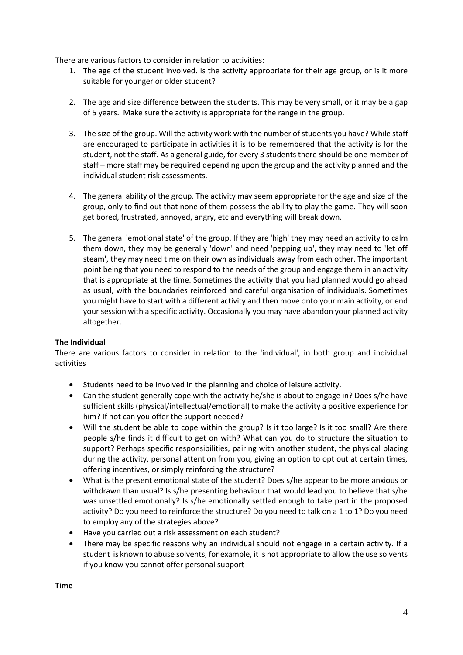There are various factors to consider in relation to activities:

- 1. The age of the student involved. Is the activity appropriate for their age group, or is it more suitable for younger or older student?
- 2. The age and size difference between the students. This may be very small, or it may be a gap of 5 years. Make sure the activity is appropriate for the range in the group.
- 3. The size of the group. Will the activity work with the number of students you have? While staff are encouraged to participate in activities it is to be remembered that the activity is for the student, not the staff. As a general guide, for every 3 students there should be one member of staff – more staff may be required depending upon the group and the activity planned and the individual student risk assessments.
- 4. The general ability of the group. The activity may seem appropriate for the age and size of the group, only to find out that none of them possess the ability to play the game. They will soon get bored, frustrated, annoyed, angry, etc and everything will break down.
- 5. The general 'emotional state' of the group. If they are 'high' they may need an activity to calm them down, they may be generally 'down' and need 'pepping up', they may need to 'let off steam', they may need time on their own as individuals away from each other. The important point being that you need to respond to the needs of the group and engage them in an activity that is appropriate at the time. Sometimes the activity that you had planned would go ahead as usual, with the boundaries reinforced and careful organisation of individuals. Sometimes you might have to start with a different activity and then move onto your main activity, or end your session with a specific activity. Occasionally you may have abandon your planned activity altogether.

#### **The Individual**

There are various factors to consider in relation to the 'individual', in both group and individual activities

- Students need to be involved in the planning and choice of leisure activity.
- Can the student generally cope with the activity he/she is about to engage in? Does s/he have sufficient skills (physical/intellectual/emotional) to make the activity a positive experience for him? If not can you offer the support needed?
- Will the student be able to cope within the group? Is it too large? Is it too small? Are there people s/he finds it difficult to get on with? What can you do to structure the situation to support? Perhaps specific responsibilities, pairing with another student, the physical placing during the activity, personal attention from you, giving an option to opt out at certain times, offering incentives, or simply reinforcing the structure?
- What is the present emotional state of the student? Does s/he appear to be more anxious or withdrawn than usual? Is s/he presenting behaviour that would lead you to believe that s/he was unsettled emotionally? Is s/he emotionally settled enough to take part in the proposed activity? Do you need to reinforce the structure? Do you need to talk on a 1 to 1? Do you need to employ any of the strategies above?
- Have you carried out a risk assessment on each student?
- There may be specific reasons why an individual should not engage in a certain activity. If a student is known to abuse solvents, for example, it is not appropriate to allow the use solvents if you know you cannot offer personal support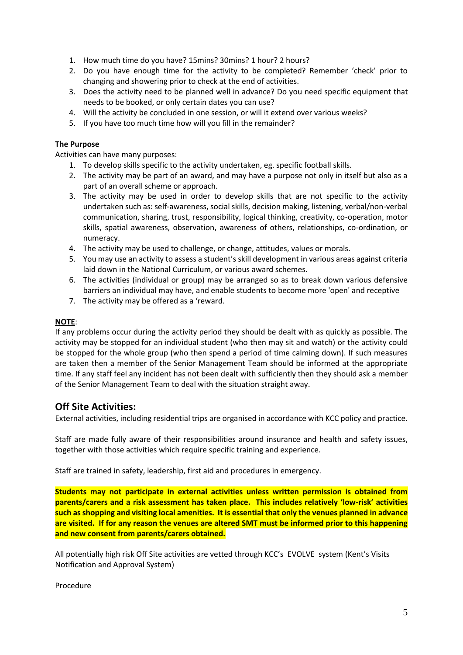- 1. How much time do you have? 15mins? 30mins? 1 hour? 2 hours?
- 2. Do you have enough time for the activity to be completed? Remember 'check' prior to changing and showering prior to check at the end of activities.
- 3. Does the activity need to be planned well in advance? Do you need specific equipment that needs to be booked, or only certain dates you can use?
- 4. Will the activity be concluded in one session, or will it extend over various weeks?
- 5. If you have too much time how will you fill in the remainder?

#### **The Purpose**

Activities can have many purposes:

- 1. To develop skills specific to the activity undertaken, eg. specific football skills.
- 2. The activity may be part of an award, and may have a purpose not only in itself but also as a part of an overall scheme or approach.
- 3. The activity may be used in order to develop skills that are not specific to the activity undertaken such as: self-awareness, social skills, decision making, listening, verbal/non-verbal communication, sharing, trust, responsibility, logical thinking, creativity, co-operation, motor skills, spatial awareness, observation, awareness of others, relationships, co-ordination, or numeracy.
- 4. The activity may be used to challenge, or change, attitudes, values or morals.
- 5. You may use an activity to assess a student's skill development in various areas against criteria laid down in the National Curriculum, or various award schemes.
- 6. The activities (individual or group) may be arranged so as to break down various defensive barriers an individual may have, and enable students to become more 'open' and receptive
- 7. The activity may be offered as a 'reward.

#### **NOTE**:

If any problems occur during the activity period they should be dealt with as quickly as possible. The activity may be stopped for an individual student (who then may sit and watch) or the activity could be stopped for the whole group (who then spend a period of time calming down). If such measures are taken then a member of the Senior Management Team should be informed at the appropriate time. If any staff feel any incident has not been dealt with sufficiently then they should ask a member of the Senior Management Team to deal with the situation straight away.

#### **Off Site Activities:**

External activities, including residential trips are organised in accordance with KCC policy and practice.

Staff are made fully aware of their responsibilities around insurance and health and safety issues, together with those activities which require specific training and experience.

Staff are trained in safety, leadership, first aid and procedures in emergency.

**Students may not participate in external activities unless written permission is obtained from parents/carers and a risk assessment has taken place. This includes relatively 'low-risk' activities such as shopping and visiting local amenities. It is essential that only the venues planned in advance are visited. If for any reason the venues are altered SMT must be informed prior to this happening and new consent from parents/carers obtained.**

All potentially high risk Off Site activities are vetted through KCC's EVOLVE system (Kent's Visits Notification and Approval System)

Procedure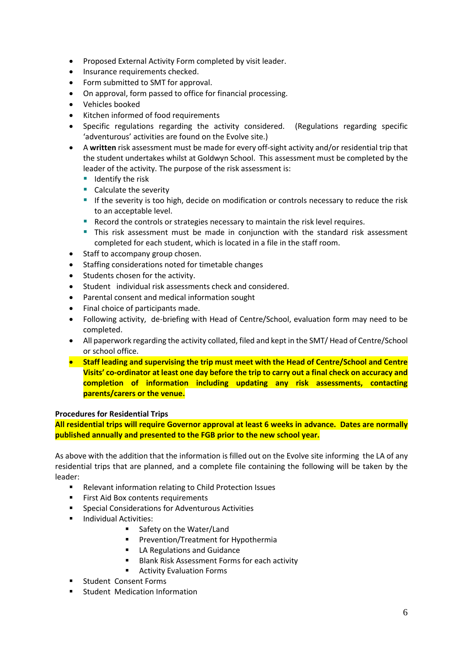- Proposed External Activity Form completed by visit leader.
- Insurance requirements checked.
- Form submitted to SMT for approval.
- On approval, form passed to office for financial processing.
- Vehicles booked
- Kitchen informed of food requirements
- Specific regulations regarding the activity considered. (Regulations regarding specific 'adventurous' activities are found on the Evolve site.)
- A **written** risk assessment must be made for every off-sight activity and/or residential trip that the student undertakes whilst at Goldwyn School. This assessment must be completed by the leader of the activity. The purpose of the risk assessment is:
	- Identify the risk
	- Calculate the severity
	- **E** If the severity is too high, decide on modification or controls necessary to reduce the risk to an acceptable level.
	- Record the controls or strategies necessary to maintain the risk level requires.
	- **.** This risk assessment must be made in conjunction with the standard risk assessment completed for each student, which is located in a file in the staff room.
- Staff to accompany group chosen.
- Staffing considerations noted for timetable changes
- Students chosen for the activity.
- Student individual risk assessments check and considered.
- Parental consent and medical information sought
- Final choice of participants made.
- Following activity, de-briefing with Head of Centre/School, evaluation form may need to be completed.
- All paperwork regarding the activity collated, filed and kept in the SMT/ Head of Centre/School or school office.
- **Staff leading and supervising the trip must meet with the Head of Centre/School and Centre Visits' co-ordinator at least one day before the trip to carry out a final check on accuracy and completion of information including updating any risk assessments, contacting parents/carers or the venue.**

#### **Procedures for Residential Trips**

**All residential trips will require Governor approval at least 6 weeks in advance. Dates are normally published annually and presented to the FGB prior to the new school year.**

As above with the addition that the information is filled out on the Evolve site informing the LA of any residential trips that are planned, and a complete file containing the following will be taken by the leader:

- Relevant information relating to Child Protection Issues
- First Aid Box contents requirements
- Special Considerations for Adventurous Activities
- Individual Activities:
	- Safety on the Water/Land
	- **■** Prevention/Treatment for Hypothermia
	- LA Regulations and Guidance
	- **Blank Risk Assessment Forms for each activity**
	- Activity Evaluation Forms
- Student Consent Forms
- **E** Student Medication Information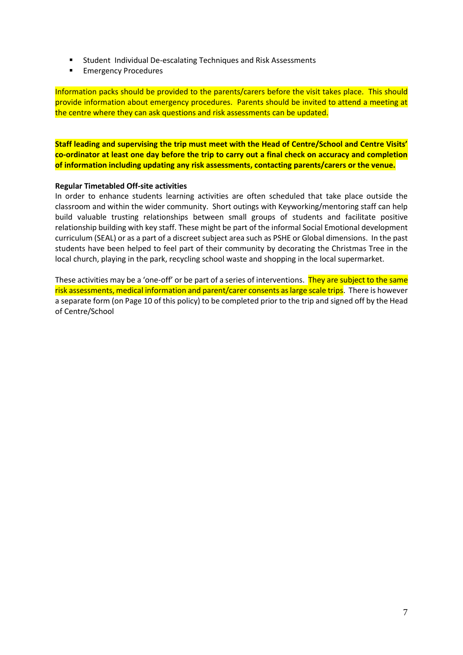- Student Individual De-escalating Techniques and Risk Assessments
- Emergency Procedures

Information packs should be provided to the parents/carers before the visit takes place. This should provide information about emergency procedures. Parents should be invited to attend a meeting at the centre where they can ask questions and risk assessments can be updated.

**Staff leading and supervising the trip must meet with the Head of Centre/School and Centre Visits' co-ordinator at least one day before the trip to carry out a final check on accuracy and completion of information including updating any risk assessments, contacting parents/carers or the venue.**

#### **Regular Timetabled Off-site activities**

In order to enhance students learning activities are often scheduled that take place outside the classroom and within the wider community. Short outings with Keyworking/mentoring staff can help build valuable trusting relationships between small groups of students and facilitate positive relationship building with key staff. These might be part of the informal Social Emotional development curriculum (SEAL) or as a part of a discreet subject area such as PSHE or Global dimensions. In the past students have been helped to feel part of their community by decorating the Christmas Tree in the local church, playing in the park, recycling school waste and shopping in the local supermarket.

These activities may be a 'one-off' or be part of a series of interventions. They are subject to the same risk assessments, medical information and parent/carer consents as large scale trips. There is however a separate form (on Page 10 of this policy) to be completed prior to the trip and signed off by the Head of Centre/School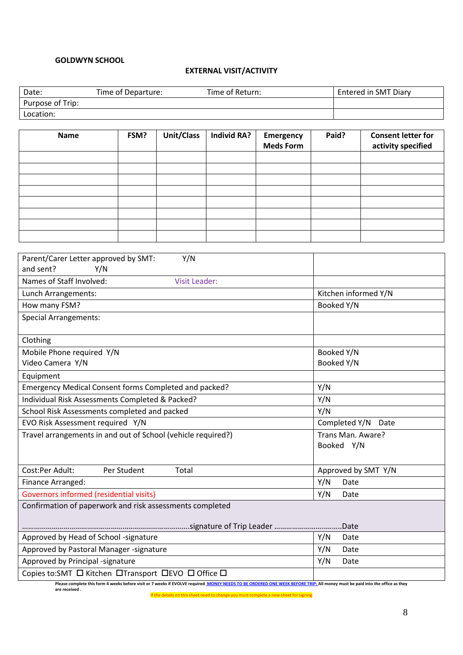#### **GOLDWYN SCHOOL**

#### **EXTERNAL VISIT/ACTIVITY**

| Date:            | Time of Departure: | Time of Return: | Entered in SMT Diary |
|------------------|--------------------|-----------------|----------------------|
| Purpose of Trip: |                    |                 |                      |
| Location:        |                    |                 |                      |

| <b>Name</b> | FSM? | <b>Unit/Class</b> | Individ RA? | Emergency        | Paid? | <b>Consent letter for</b> |
|-------------|------|-------------------|-------------|------------------|-------|---------------------------|
|             |      |                   |             | <b>Meds Form</b> |       | activity specified        |
|             |      |                   |             |                  |       |                           |
|             |      |                   |             |                  |       |                           |
|             |      |                   |             |                  |       |                           |
|             |      |                   |             |                  |       |                           |
|             |      |                   |             |                  |       |                           |
|             |      |                   |             |                  |       |                           |
|             |      |                   |             |                  |       |                           |
|             |      |                   |             |                  |       |                           |

| Parent/Carer Letter approved by SMT:<br>Y/N                                                                                                                                                  |                      |  |  |  |
|----------------------------------------------------------------------------------------------------------------------------------------------------------------------------------------------|----------------------|--|--|--|
| and sent?<br>Y/N                                                                                                                                                                             |                      |  |  |  |
| Names of Staff Involved:<br><b>Visit Leader:</b>                                                                                                                                             |                      |  |  |  |
| Lunch Arrangements:                                                                                                                                                                          | Kitchen informed Y/N |  |  |  |
| How many FSM?                                                                                                                                                                                | Booked Y/N           |  |  |  |
| <b>Special Arrangements:</b>                                                                                                                                                                 |                      |  |  |  |
|                                                                                                                                                                                              |                      |  |  |  |
| Clothing                                                                                                                                                                                     |                      |  |  |  |
| Mobile Phone required Y/N                                                                                                                                                                    | Booked Y/N           |  |  |  |
| Video Camera Y/N                                                                                                                                                                             | Booked Y/N           |  |  |  |
| Equipment                                                                                                                                                                                    |                      |  |  |  |
| Emergency Medical Consent forms Completed and packed?                                                                                                                                        | Y/N                  |  |  |  |
| Individual Risk Assessments Completed & Packed?                                                                                                                                              | Y/N                  |  |  |  |
| School Risk Assessments completed and packed                                                                                                                                                 | Y/N                  |  |  |  |
| EVO Risk Assessment required Y/N                                                                                                                                                             | Completed Y/N Date   |  |  |  |
| Travel arrangements in and out of School (vehicle required?)                                                                                                                                 | Trans Man. Aware?    |  |  |  |
|                                                                                                                                                                                              | Booked Y/N           |  |  |  |
|                                                                                                                                                                                              |                      |  |  |  |
| Cost:Per Adult:<br>Per Student<br>Total                                                                                                                                                      | Approved by SMT Y/N  |  |  |  |
| Finance Arranged:                                                                                                                                                                            | Y/N<br>Date          |  |  |  |
| Governors informed (residential visits)                                                                                                                                                      | Y/N<br>Date          |  |  |  |
| Confirmation of paperwork and risk assessments completed                                                                                                                                     |                      |  |  |  |
|                                                                                                                                                                                              |                      |  |  |  |
|                                                                                                                                                                                              |                      |  |  |  |
| Approved by Head of School -signature                                                                                                                                                        | Y/N<br>Date          |  |  |  |
| Approved by Pastoral Manager -signature                                                                                                                                                      | Y/N<br>Date          |  |  |  |
| Approved by Principal -signature                                                                                                                                                             | Y/N<br>Date          |  |  |  |
| Copies to:SMT □ Kitchen □Transport □EVO □ Office □                                                                                                                                           |                      |  |  |  |
| Please complete this form 4 weeks before visit or 7 weeks if EVOLVE required MONEY NEEDS TO BE ORDERED ONE WEEK BEFORE TRIP: All money must be paid into the office as they<br>are received. |                      |  |  |  |

If the details on this sheet need to change you must complete a new sheet for signing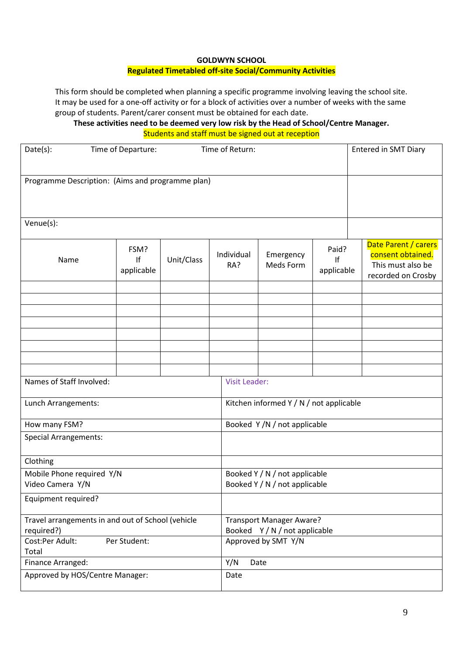#### **GOLDWYN SCHOOL**

#### **Regulated Timetabled off-site Social/Community Activities**

This form should be completed when planning a specific programme involving leaving the school site. It may be used for a one-off activity or for a block of activities over a number of weeks with the same group of students. Parent/carer consent must be obtained for each date.

**These activities need to be deemed very low risk by the Head of School/Centre Manager.** Students and staff must be signed out at reception

| Date(s):<br>Time of Return:<br>Time of Departure:               |                          |            |                   | <b>Entered in SMT Diary</b>                                      |                           |  |                                                                                      |  |
|-----------------------------------------------------------------|--------------------------|------------|-------------------|------------------------------------------------------------------|---------------------------|--|--------------------------------------------------------------------------------------|--|
| Programme Description: (Aims and programme plan)                |                          |            |                   |                                                                  |                           |  |                                                                                      |  |
| Venue(s):                                                       |                          |            |                   |                                                                  |                           |  |                                                                                      |  |
| Name                                                            | FSM?<br>If<br>applicable | Unit/Class | Individual<br>RA? | Emergency<br>Meds Form                                           | Paid?<br>If<br>applicable |  | Date Parent / carers<br>consent obtained.<br>This must also be<br>recorded on Crosby |  |
|                                                                 |                          |            |                   |                                                                  |                           |  |                                                                                      |  |
|                                                                 |                          |            |                   |                                                                  |                           |  |                                                                                      |  |
|                                                                 |                          |            |                   |                                                                  |                           |  |                                                                                      |  |
|                                                                 |                          |            |                   |                                                                  |                           |  |                                                                                      |  |
|                                                                 |                          |            |                   |                                                                  |                           |  |                                                                                      |  |
| Names of Staff Involved:                                        |                          |            |                   | <b>Visit Leader:</b>                                             |                           |  |                                                                                      |  |
| Lunch Arrangements:                                             |                          |            |                   | Kitchen informed Y / N / not applicable                          |                           |  |                                                                                      |  |
| How many FSM?                                                   |                          |            |                   | Booked Y/N/not applicable                                        |                           |  |                                                                                      |  |
| <b>Special Arrangements:</b>                                    |                          |            |                   |                                                                  |                           |  |                                                                                      |  |
| Clothing                                                        |                          |            |                   |                                                                  |                           |  |                                                                                      |  |
| Mobile Phone required Y/N<br>Video Camera Y/N                   |                          |            |                   | Booked Y / N / not applicable<br>Booked Y / N / not applicable   |                           |  |                                                                                      |  |
| Equipment required?                                             |                          |            |                   |                                                                  |                           |  |                                                                                      |  |
| Travel arrangements in and out of School (vehicle<br>required?) |                          |            |                   | <b>Transport Manager Aware?</b><br>Booked Y / N / not applicable |                           |  |                                                                                      |  |
| Cost:Per Adult:<br>Per Student:<br>Total                        |                          |            |                   | Approved by SMT Y/N                                              |                           |  |                                                                                      |  |
| Finance Arranged:                                               |                          |            | Y/N               | Date                                                             |                           |  |                                                                                      |  |
| Approved by HOS/Centre Manager:                                 |                          |            | Date              |                                                                  |                           |  |                                                                                      |  |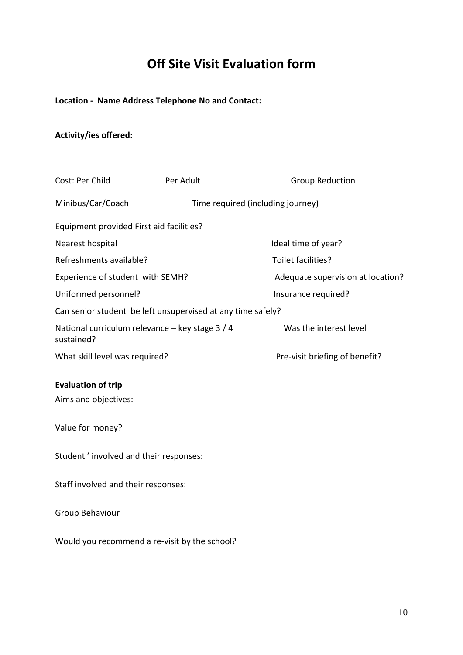# **Off Site Visit Evaluation form**

### **Location - Name Address Telephone No and Contact:**

## **Activity/ies offered:**

| Cost: Per Child                                               | Per Adult                                                   | <b>Group Reduction</b>            |  |  |  |  |
|---------------------------------------------------------------|-------------------------------------------------------------|-----------------------------------|--|--|--|--|
| Minibus/Car/Coach                                             | Time required (including journey)                           |                                   |  |  |  |  |
| Equipment provided First aid facilities?                      |                                                             |                                   |  |  |  |  |
| Nearest hospital                                              |                                                             | Ideal time of year?               |  |  |  |  |
| Refreshments available?                                       |                                                             | Toilet facilities?                |  |  |  |  |
| Experience of student with SEMH?                              |                                                             | Adequate supervision at location? |  |  |  |  |
| Uniformed personnel?                                          |                                                             | Insurance required?               |  |  |  |  |
|                                                               | Can senior student be left unsupervised at any time safely? |                                   |  |  |  |  |
| National curriculum relevance - key stage 3 / 4<br>sustained? |                                                             | Was the interest level            |  |  |  |  |
| What skill level was required?                                |                                                             | Pre-visit briefing of benefit?    |  |  |  |  |
| <b>Evaluation of trip</b><br>Aims and objectives:             |                                                             |                                   |  |  |  |  |
| Value for money?                                              |                                                             |                                   |  |  |  |  |
| Student' involved and their responses:                        |                                                             |                                   |  |  |  |  |
| Staff involved and their responses:                           |                                                             |                                   |  |  |  |  |
| Group Behaviour                                               |                                                             |                                   |  |  |  |  |
| Would you recommend a re-visit by the school?                 |                                                             |                                   |  |  |  |  |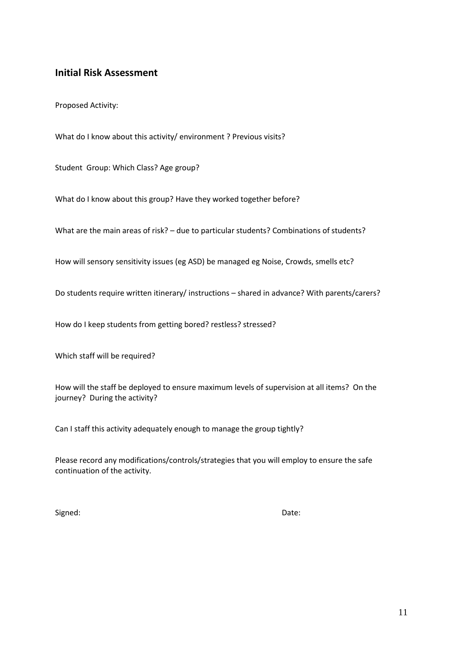#### **Initial Risk Assessment**

Proposed Activity:

What do I know about this activity/ environment ? Previous visits?

Student Group: Which Class? Age group?

What do I know about this group? Have they worked together before?

What are the main areas of risk? – due to particular students? Combinations of students?

How will sensory sensitivity issues (eg ASD) be managed eg Noise, Crowds, smells etc?

Do students require written itinerary/ instructions – shared in advance? With parents/carers?

How do I keep students from getting bored? restless? stressed?

Which staff will be required?

How will the staff be deployed to ensure maximum levels of supervision at all items? On the journey? During the activity?

Can I staff this activity adequately enough to manage the group tightly?

Please record any modifications/controls/strategies that you will employ to ensure the safe continuation of the activity.

Signed: Date: